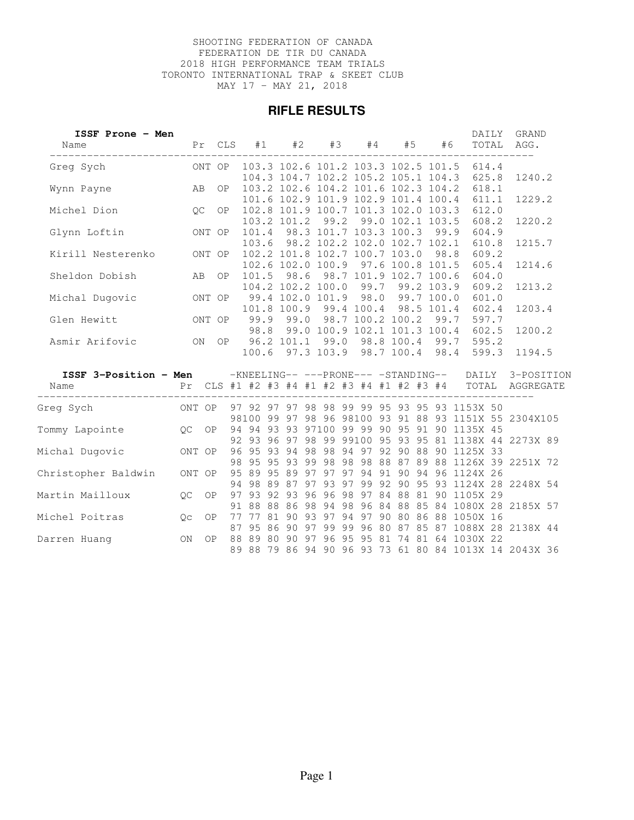#### SHOOTING FEDERATION OF CANADA FEDERATION DE TIR DU CANADA 2018 HIGH PERFORMANCE TEAM TRIALS TORONTO INTERNATIONAL TRAP & SKEET CLUB MAY 17 - MAY 21, 2018

#### **RIFLE RESULTS**

| ISSF Prone - Men<br>Name                                                                |     | Pr CLS |  | #1 | #2 |  |  | #3 #4 #5 #6                                                                |  | DAILY<br>TOTAL                                                                    | GRAND<br>AGG.                                         |  |
|-----------------------------------------------------------------------------------------|-----|--------|--|----|----|--|--|----------------------------------------------------------------------------|--|-----------------------------------------------------------------------------------|-------------------------------------------------------|--|
|                                                                                         |     |        |  |    |    |  |  |                                                                            |  | 104.3 104.7 102.2 105.2 105.1 104.3 625.8                                         | 1240.2                                                |  |
| AB<br>Wynn Payne                                                                        |     | OP     |  |    |    |  |  | 103.2 102.6 104.2 101.6 102.3 104.2<br>101.6 102.9 101.9 102.9 101.4 100.4 |  | 618.1<br>611.1                                                                    | 1229.2                                                |  |
| QC<br>Michel Dion                                                                       |     | OP     |  |    |    |  |  | 102.8 101.9 100.7 101.3 102.0 103.3<br>103.2 101.2 99.2 99.0 102.1 103.5   |  | 612.0<br>608.2                                                                    | 1220.2                                                |  |
| ONT OP<br>Glynn Loftin                                                                  |     |        |  |    |    |  |  | 101.4 98.3 101.7 103.3 100.3 99.9<br>103.6 98.2 102.2 102.0 102.7 102.1    |  | 604.9<br>610.8                                                                    | 1215.7                                                |  |
| Kirill Nesterenko ONT OP                                                                |     |        |  |    |    |  |  | 102.2 101.8 102.7 100.7 103.0 98.8<br>102.6 102.0 100.9 97.6 100.8 101.5   |  | 609.2<br>605.4                                                                    | 1214.6                                                |  |
| Sheldon Dobish                                                                          |     | AB OP  |  |    |    |  |  | 101.5 98.6 98.7 101.9 102.7 100.6                                          |  | 604.0                                                                             |                                                       |  |
| Michal Dugovic ONT OP                                                                   |     |        |  |    |    |  |  |                                                                            |  | 104.2 102.2 100.0 99.7 99.2 103.9 609.2<br>99.4 102.0 101.9 98.0 99.7 100.0 601.0 | 1213.2                                                |  |
| ONT OP<br>Glen Hewitt                                                                   |     |        |  |    |    |  |  | 101.8 100.9 99.4 100.4 98.5 101.4<br>99.9 99.0 98.7 100.2 100.2 99.7       |  | 602.4<br>597.7                                                                    | 1203.4                                                |  |
|                                                                                         |     |        |  |    |    |  |  | 98.8 99.0 100.9 102.1 101.3 100.4                                          |  | 602.5                                                                             | 1200.2                                                |  |
| ISSF 3-Position - Men - KNEELING-- --- PRONE--- - STANDING-- DAILY 3-POSITION           |     |        |  |    |    |  |  | 100.6 97.3 103.9 98.7 100.4 98.4                                           |  | 599.3                                                                             | 1194.5                                                |  |
| Pr CLS #1 #2 #3 #4 #1 #2 #3 #4 #1 #2 #3 #4 TOTAL AGGREGATE<br>Name<br>_________________ |     |        |  |    |    |  |  |                                                                            |  |                                                                                   |                                                       |  |
|                                                                                         |     |        |  |    |    |  |  |                                                                            |  |                                                                                   | 98100 99 97 98 96 98100 93 91 88 93 1151X 55 2304X105 |  |
| Tommy Lapointe QC OP                                                                    |     |        |  |    |    |  |  |                                                                            |  | 94 94 93 93 97100 99 99 90 95 91 90 1135X 45                                      | 92 93 96 97 98 99 99100 95 93 95 81 1138X 44 2273X 89 |  |
| Michal Dugovic ONT OP                                                                   |     |        |  |    |    |  |  |                                                                            |  | 96 95 93 94 98 98 94 97 92 90 88 90 1125X 33                                      | 98 95 95 93 99 98 98 98 88 87 89 88 1126X 39 2251X 72 |  |
| Christopher Baldwin ONT OP                                                              |     |        |  |    |    |  |  |                                                                            |  | 95 89 95 89 97 97 97 94 91 90 94 96 1124X 26                                      | 94 98 89 87 97 93 97 99 92 90 95 93 1124X 28 2248X 54 |  |
| Martin Mailloux QC OP                                                                   |     |        |  |    |    |  |  |                                                                            |  | 97 93 92 93 96 96 98 97 84 88 81 90 1105X 29                                      | 91 88 88 86 98 94 98 96 84 88 85 84 1080X 28 2185X 57 |  |
| $QC$ OP<br>Michel Poitras                                                               |     |        |  |    |    |  |  |                                                                            |  | 77 77 81 90 93 97 94 97 90 80 86 88 1050X 16                                      | 87 95 86 90 97 99 99 96 80 87 85 87 1088X 28 2138X 44 |  |
| Darren Huanq                                                                            | ON. | 0P     |  |    |    |  |  |                                                                            |  | 88 89 80 90 97 96 95 95 81 74 81 64 1030X 22                                      |                                                       |  |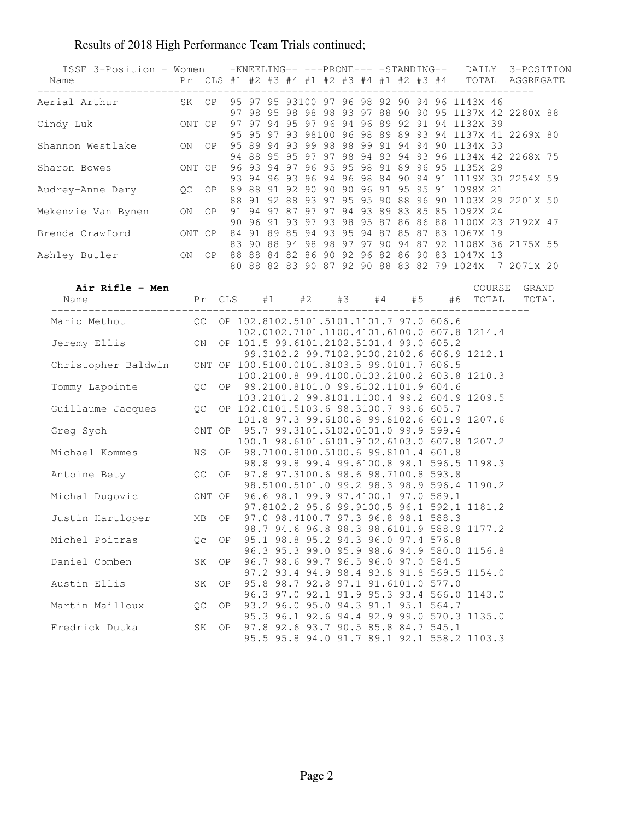| ISSF 3-Position - Women - KNEELING-- --- PRONE--- - STANDING-- DAILY 3-POSITION<br>Name<br>____________________________ |    | Pr CLS #1 #2 #3 #4 #1 #2 #3 #4 #1 #2 #3 #4 TOTAL AGGREGATE |  |  |  |  |  |  |  |  |                                                                                           |  |  |                                                                                                                |  |
|-------------------------------------------------------------------------------------------------------------------------|----|------------------------------------------------------------|--|--|--|--|--|--|--|--|-------------------------------------------------------------------------------------------|--|--|----------------------------------------------------------------------------------------------------------------|--|
| Aerial Arthur XX OP 95 97 95 93100 97 96 98 92 90 94 96 1143X 46                                                        |    |                                                            |  |  |  |  |  |  |  |  |                                                                                           |  |  |                                                                                                                |  |
|                                                                                                                         |    |                                                            |  |  |  |  |  |  |  |  |                                                                                           |  |  | 97 98 95 98 98 98 93 97 88 90 90 95 1137X 42 2280X 88                                                          |  |
|                                                                                                                         |    |                                                            |  |  |  |  |  |  |  |  |                                                                                           |  |  | 95 95 97 93 98100 96 98 89 89 93 94 1137X 41 2269X 80                                                          |  |
| Sharon Bowes 0NT OP 96 93 94 97 96 95 95 98 91 89 96 95 1135X 29                                                        |    |                                                            |  |  |  |  |  |  |  |  |                                                                                           |  |  | 94 88 95 95 97 97 98 94 93 94 93 96 1134X 42 2268X 75<br>93 94 96 93 96 94 96 98 84 90 94 91 1119X 30 2254X 59 |  |
|                                                                                                                         |    |                                                            |  |  |  |  |  |  |  |  |                                                                                           |  |  | 88 91 92 88 93 97 95 95 90 88 96 90 1103X 29 2201X 50                                                          |  |
| Mekenzie Van Bynen ON OP 91 94 97 87 97 97 94 93 89 83 85 85 1092X 24                                                   |    |                                                            |  |  |  |  |  |  |  |  |                                                                                           |  |  | 90 96 91 93 97 93 98 95 87 86 86 88 1100X 23 2192X 47                                                          |  |
|                                                                                                                         |    |                                                            |  |  |  |  |  |  |  |  |                                                                                           |  |  | 83 90 88 94 98 98 97 97 90 94 87 92 1108X 36 2175X 55                                                          |  |
| Ashley Butler 0N OP 88 88 84 82 86 90 92 96 82 86 90 83 1047X 13                                                        |    |                                                            |  |  |  |  |  |  |  |  |                                                                                           |  |  | 80 88 82 83 90 87 92 90 88 83 82 79 1024X 7 2071X 20                                                           |  |
| Air Rifle - Men<br>Name  Pr CLS #1  #2  #3  #4  #5  #6  TOTAL                                                           |    |                                                            |  |  |  |  |  |  |  |  |                                                                                           |  |  | COURSE GRAND<br>TOTAL                                                                                          |  |
| Mario Methot 0C OP 102.8102.5101.5101.1101.7 97.0 606.6                                                                 |    |                                                            |  |  |  |  |  |  |  |  |                                                                                           |  |  |                                                                                                                |  |
| Jeremy Ellis Mark Contract ON OP 101.5 99.6101.2102.5101.4 99.0 607.8                                                   |    |                                                            |  |  |  |  |  |  |  |  | 102.0102.7101.1100.4101.6100.0 607.8 1214.4                                               |  |  |                                                                                                                |  |
|                                                                                                                         |    |                                                            |  |  |  |  |  |  |  |  | 99.3102.2 99.7102.9100.2102.6 606.9 1212.1<br>100.2100.8 99.4100.0103.2100.2 603.8 1210.3 |  |  |                                                                                                                |  |
|                                                                                                                         |    |                                                            |  |  |  |  |  |  |  |  | 103.2101.2 99.8101.1100.4 99.2 604.9 1209.5                                               |  |  |                                                                                                                |  |
| Guillaume Jacques QC OP 102.0101.5103.6 98.3100.7 99.6 605.7                                                            |    |                                                            |  |  |  |  |  |  |  |  | 101.8 97.3 99.6100.8 99.8102.6 601.9 1207.6                                               |  |  |                                                                                                                |  |
| Greg Sych 0NT OP 95.7 99.3101.5102.0101.0 99.9 599.4                                                                    |    |                                                            |  |  |  |  |  |  |  |  | 100.1 98.6101.6101.9102.6103.0 607.8 1207.2                                               |  |  |                                                                                                                |  |
| Michael Kommes NS OP 98.7100.8100.5100.6 99.8101.4 601.8                                                                |    |                                                            |  |  |  |  |  |  |  |  | 98.8 99.8 99.4 99.6100.8 98.1 596.5 1198.3                                                |  |  |                                                                                                                |  |
| Antoine Bety 0C OP 97.8 97.3100.6 98.6 98.7100.8 593.8                                                                  |    |                                                            |  |  |  |  |  |  |  |  | 98.5100.5101.0 99.2 98.3 98.9 596.4 1190.2                                                |  |  |                                                                                                                |  |
| Michal Dugovic 0NT OP 96.6 98.1 99.9 97.4100.1 97.0 589.1                                                               |    |                                                            |  |  |  |  |  |  |  |  | 97.8102.2 95.6 99.9100.5 96.1 592.1 1181.2                                                |  |  |                                                                                                                |  |
| Justin Hartloper MB OP 97.0 98.4100.7 97.3 96.8 98.1 588.3                                                              |    |                                                            |  |  |  |  |  |  |  |  | 98.7 94.6 96.8 98.3 98.6101.9 588.9 1177.2                                                |  |  |                                                                                                                |  |
| Michel Poitras                                                                                                          | Qc | OP.                                                        |  |  |  |  |  |  |  |  | 95.1 98.8 95.2 94.3 96.0 97.4 576.8<br>96.3 95.3 99.0 95.9 98.6 94.9 580.0 1156.8         |  |  |                                                                                                                |  |
| Daniel Comben                                                                                                           | SK | OP.                                                        |  |  |  |  |  |  |  |  | 96.7 98.6 99.7 96.5 96.0 97.0 584.5<br>97.2 93.4 94.9 98.4 93.8 91.8 569.5 1154.0         |  |  |                                                                                                                |  |
| Austin Ellis                                                                                                            | SK | OP.                                                        |  |  |  |  |  |  |  |  | 95.8 98.7 92.8 97.1 91.6101.0 577.0<br>96.3 97.0 92.1 91.9 95.3 93.4 566.0 1143.0         |  |  |                                                                                                                |  |
| Martin Mailloux                                                                                                         | QC | OP.                                                        |  |  |  |  |  |  |  |  | 93.2 96.0 95.0 94.3 91.1 95.1 564.7<br>95.3 96.1 92.6 94.4 92.9 99.0 570.3 1135.0         |  |  |                                                                                                                |  |
| Fredrick Dutka                                                                                                          | SK | OP.                                                        |  |  |  |  |  |  |  |  | 97.8 92.6 93.7 90.5 85.8 84.7 545.1<br>95.5 95.8 94.0 91.7 89.1 92.1 558.2 1103.3         |  |  |                                                                                                                |  |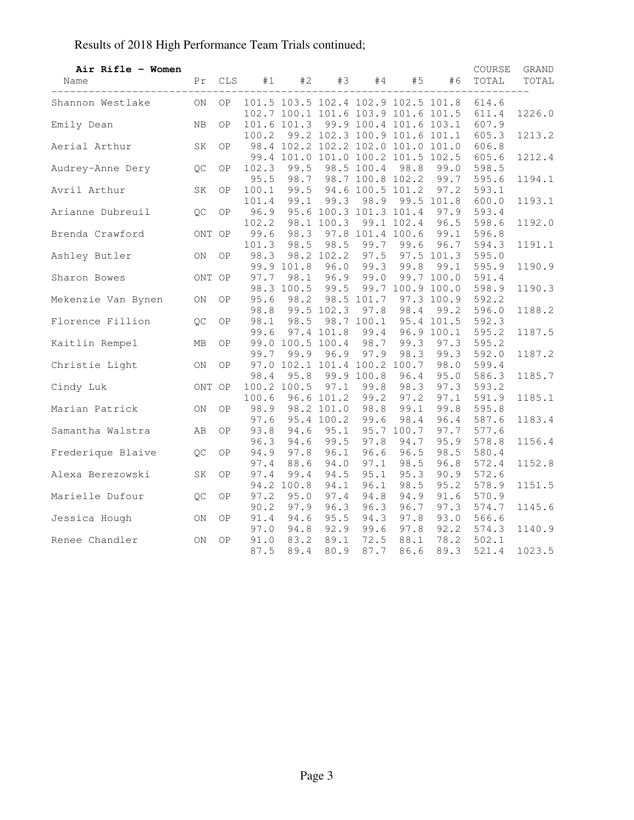| Air Rifle - Women<br>Name | Pr                       | CLS       | #1    | #2          | #3              | #4              | #5                           | #6                                  | COURSE<br>TOTAL                              | GRAND<br>TOTAL<br>$\qquad \qquad - \qquad -$ |
|---------------------------|--------------------------|-----------|-------|-------------|-----------------|-----------------|------------------------------|-------------------------------------|----------------------------------------------|----------------------------------------------|
| Shannon Westlake          | ON                       |           |       |             |                 |                 |                              |                                     | OP 101.5 103.5 102.4 102.9 102.5 101.8 614.6 |                                              |
|                           |                          |           |       |             |                 |                 |                              | 102.7 100.1 101.6 103.9 101.6 101.5 | 611.4                                        | 1226.0                                       |
| Emily Dean                | NB                       | <b>OP</b> |       | 101.6 101.3 |                 |                 |                              | 99.9 100.4 101.6 103.1              | 607.9                                        |                                              |
|                           |                          |           | 100.2 |             |                 |                 |                              | 99.2 102.3 100.9 101.6 101.1        | 605.3                                        | 1213.2                                       |
| Aerial Arthur             | SK                       | OP.       |       |             |                 |                 |                              | 98.4 102.2 102.2 102.0 101.0 101.0  | 606.8                                        |                                              |
|                           |                          |           |       |             |                 |                 |                              | 99.4 101.0 101.0 100.2 101.5 102.5  | 605.6                                        | 1212.4                                       |
| QC<br>Audrey-Anne Dery    |                          | ΟP        | 102.3 | 99.5        |                 | 98.5 100.4      | 98.8                         | 99.0                                | 598.5                                        |                                              |
|                           |                          |           | 95.5  | 98.7        |                 |                 |                              | 98.7 100.8 102.2 99.7               | 595.6                                        | 1194.1                                       |
| Avril Arthur              | SK                       | <b>OP</b> | 100.1 | 99.5        |                 |                 | 94.6 100.5 101.2             | 97.2                                | 593.1                                        |                                              |
|                           |                          |           | 101.4 |             | 99.1 99.3       | 98.9            |                              | 99.5 101.8                          | 600.0                                        | 1193.1                                       |
| Arianne Dubreuil          | QC                       | 0P        | 96.9  |             |                 |                 | 95.6 100.3 101.3 101.4       | 97.9                                | 593.4                                        |                                              |
|                           |                          |           | 102.2 |             | 98.1 100.3      |                 | 99.1 102.4                   | 96.5                                | 598.6                                        | 1192.0                                       |
| Brenda Crawford           | ONT OP                   |           | 99.6  |             |                 |                 | 98.3 97.8 101.4 100.6        | 99.1                                | 596.8                                        |                                              |
|                           |                          |           | 101.3 | 98.5        |                 | 98.5 99.7       | 99.6                         | 96.7                                | 594.3                                        | 1191.1                                       |
| Ashley Butler             | ON                       | OP.       | 98.3  |             |                 | 98.2 102.2 97.5 |                              | 97.5 101.3                          | 595.0                                        |                                              |
|                           |                          |           |       | 99.9 101.8  |                 | $96.0$ $99.3$   | 99.8                         | 99.1                                | 595.9                                        | 1190.9                                       |
| Sharon Bowes              | ONT OP                   |           | 97.7  | 98.1        |                 | 96.9 99.0       |                              | 99.7 100.0                          | 591.4                                        |                                              |
|                           |                          |           |       | 98.3 100.5  |                 |                 |                              | 99.5 99.7 100.9 100.0               | 598.9                                        | 1190.3                                       |
| Mekenzie Van Bynen ON     |                          | ΟP        | 95.6  |             |                 | 98.2 98.5 101.7 |                              | 97.3 100.9                          | 592.2                                        |                                              |
|                           |                          |           | 98.8  |             |                 | 99.5 102.3 97.8 | 98.4                         | 99.2                                | 596.0                                        | 1188.2                                       |
| Florence Fillion QC       |                          | ΟP        | 98.1  | 98.5        |                 | 98.7 100.1      |                              | 95.4 101.5                          | 592.3                                        |                                              |
|                           |                          |           | 99.6  |             | 97.4 101.8      | 99.4            |                              | 96.9 100.1                          | 595.2                                        | 1187.5                                       |
| Kaitlin Rempel            | MB                       | <b>OP</b> |       |             |                 |                 | 99.0 100.5 100.4 98.7 99.3   | 97.3                                | 595.2                                        |                                              |
|                           |                          |           | 99.7  | 99.9        | 96.9            | 97.9            | 98.3                         | 99.3                                | 592.0                                        | 1187.2                                       |
| Christie Light            | ON                       | <b>OP</b> |       |             |                 |                 | 97.0 102.1 101.4 100.2 100.7 | 98.0                                | 599.4                                        |                                              |
|                           |                          |           | 98.4  | 95.8        |                 | 99.9 100.8      | 96.4                         | 95.0                                | 586.3                                        | 1185.7                                       |
| Cindy Luk                 | ONT OP                   |           |       | 100.2 100.5 | 97.1            | 99.8            | 98.3                         | 97.3                                | 593.2                                        |                                              |
|                           |                          |           | 100.6 |             |                 | 96.6 101.2 99.2 | 97.2                         | 97.1                                | 591.9                                        | 1185.1                                       |
| Marian Patrick            | ON                       | ΟP        | 98.9  |             | 98.2 101.0 98.8 |                 | 99.1                         | 99.8                                | 595.8                                        |                                              |
|                           |                          |           | 97.6  |             | 95.4 100.2 99.6 |                 | 98.4                         | 96.4                                | 587.6                                        | 1183.4                                       |
| Samantha Walstra          | AB                       | <b>OP</b> | 93.8  | 94.6        |                 |                 | 95.1 95.7 100.7              | 97.7                                | 577.6                                        |                                              |
|                           |                          |           | 96.3  | 94.6        | 99.5            | 97.8            | 94.7                         | 95.9                                | 578.8                                        | 1156.4                                       |
| Frederique Blaive QC      |                          | <b>OP</b> | 94.9  | 97.8        | 96.1            | 96.6            | 96.5                         | 98.5                                | 580.4                                        |                                              |
|                           |                          |           | 97.4  | 88.6        | 94.0            | 97.1            | 98.5                         | 96.8                                | 572.4                                        | 1152.8                                       |
| Alexa Berezowski          | SK                       | ΟP        | 97.4  | 99.4        | 94.5            | 95.1            | 95.3                         | 90.9                                | 572.6                                        |                                              |
|                           |                          |           |       | 94.2 100.8  | 94.1            | 96.1            | 98.5                         | 95.2                                | 578.9                                        | 1151.5                                       |
| Marielle Dufour           | QC                       | <b>OP</b> | 97.2  | 95.0        | 97.4            | 94.8            | 94.9                         | 91.6                                | 570.9                                        |                                              |
|                           |                          |           | 90.2  | 97.9        |                 | 96.3 96.3       | 96.7                         | 97.3                                | 574.7                                        | 1145.6                                       |
| Jessica Hough             | $\mathsf{ON}$            | <b>OP</b> | 91.4  | 94.6        | 95.5            | 94.3            | 97.8                         | 93.0                                | 566.6                                        |                                              |
|                           |                          |           | 97.0  | 94.8        |                 | 92.9 99.6       | 97.8                         | 92.2                                | 574.3                                        | 1140.9                                       |
| Renee Chandler            | $\mathcal{O}\mathcal{N}$ | OP        | 91.0  | 83.2        | 89.1            | 72.5            | 88.1                         | 78.2                                | 502.1                                        |                                              |
|                           |                          |           | 87.5  | 89.4        | 80.9            | 87.7            | 86.6                         | 89.3                                | 521.4                                        | 1023.5                                       |
|                           |                          |           |       |             |                 |                 |                              |                                     |                                              |                                              |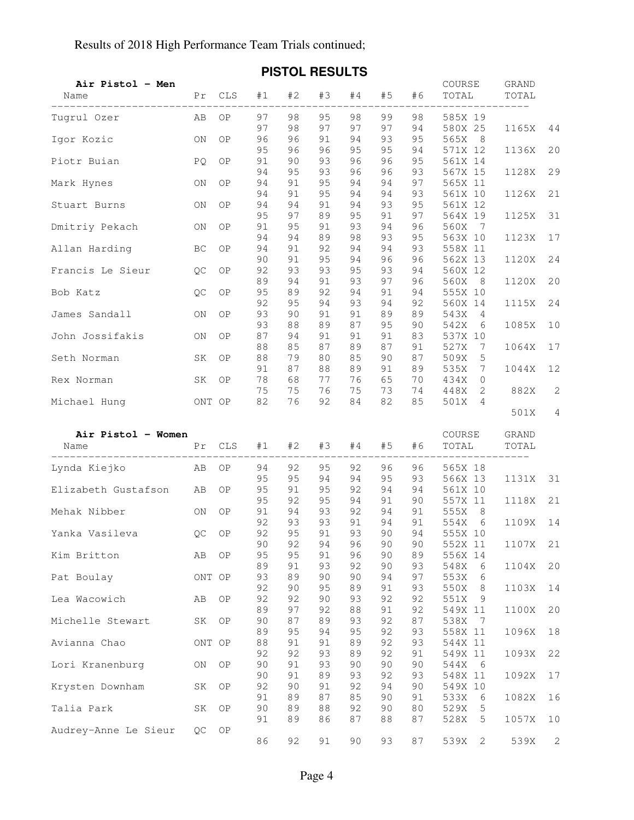| Air Pistol - Men<br>Name    |        | Pr CLS | #1       | #2       | #3       | #4       | #5       | #6       | COURSE<br>TOTAL        | GRAND<br>TOTAL |                      |
|-----------------------------|--------|--------|----------|----------|----------|----------|----------|----------|------------------------|----------------|----------------------|
| Tugrul Ozer                 | AB     | OP     | 97       | 98       | 95       | 98       | 99       | 98       | 585X 19                |                |                      |
| Igor Kozic                  | ON     | OP     | 97<br>96 | 98<br>96 | 97<br>91 | 97<br>94 | 97<br>93 | 94<br>95 | 580X 25<br>565X<br>- 8 | 1165X          | 44                   |
| Piotr Buian                 | PQ.    | ΟP     | 95<br>91 | 96<br>90 | 96<br>93 | 95<br>96 | 95<br>96 | 94<br>95 | 571X 12<br>561X 14     | 1136X          | 20                   |
| Mark Hynes                  | ON     | ΟP     | 94<br>94 | 95<br>91 | 93<br>95 | 96<br>94 | 96<br>94 | 93<br>97 | 567X 15<br>565X 11     | 1128X          | 29                   |
| Stuart Burns                | ON     | ΟP     | 94<br>94 | 91<br>94 | 95<br>91 | 94<br>94 | 94<br>93 | 93<br>95 | 561X 10<br>561X 12     | 1126X          | 21                   |
| Dmitriy Pekach              | ON     | ΟP     | 95<br>91 | 97<br>95 | 89<br>91 | 95<br>93 | 91<br>94 | 97<br>96 | 564X 19<br>560X<br>- 7 | 1125X          | 31                   |
| Allan Harding               | BC     | ΟP     | 94<br>94 | 94<br>91 | 89<br>92 | 98<br>94 | 93<br>94 | 95<br>93 | 563X 10<br>558X 11     | 1123X          | 17                   |
|                             |        |        | 90       | 91       | 95       | 94       | 96       | 96       | 562X 13                | 1120X          | 24                   |
| Francis Le Sieur            | QC     | ΟP     | 92<br>89 | 93<br>94 | 93<br>91 | 95<br>93 | 93<br>97 | 94<br>96 | 560X 12<br>560X<br>8   | 1120X          | 20                   |
| Bob Katz                    | QC     | OP     | 95<br>92 | 89<br>95 | 92<br>94 | 94<br>93 | 91<br>94 | 94<br>92 | 555X 10<br>560X 14     | 1115X          | 24                   |
| James Sandall               | ON     | OP     | 93<br>93 | 90<br>88 | 91<br>89 | 91<br>87 | 89<br>95 | 89<br>90 | 543X<br>4<br>542X<br>6 | 1085X          | 10                   |
| John Jossifakis             | ON     | ΟP     | 87<br>88 | 94<br>85 | 91<br>87 | 91<br>89 | 91<br>87 | 83<br>91 | 537X 10<br>527X<br>7   | 1064X          | 17                   |
| Seth Norman                 | SK     | ΟP     | 88       | 79       | 80       | 85       | 90       | 87       | 509X<br>5              |                |                      |
| Rex Norman                  | SK     | ΟP     | 91<br>78 | 87<br>68 | 88<br>77 | 89<br>76 | 91<br>65 | 89<br>70 | 535X<br>7<br>434X<br>0 | 1044X          | 12                   |
| Michael Hung                | ONT OP |        | 75<br>82 | 75<br>76 | 76<br>92 | 75<br>84 | 73<br>82 | 74<br>85 | 448X<br>2<br>501X<br>4 | 882X           | $\mathbf{2}$         |
|                             |        |        |          |          |          |          |          |          |                        | 501X           | 4                    |
| Air Pistol - Women<br>Name  | Pr     | CLS    | #1       | #2       | #3       | #4       | #5       | #6       | COURSE<br>TOTAL        | GRAND<br>TOTAL |                      |
| -----------<br>Lynda Kiejko | AB     | ΟP     | 94       | 92       | 95       | 92       | 96       | 96       | 565X 18                | ----------     |                      |
| Elizabeth Gustafson         | AB     | OP     | 95<br>95 | 95<br>91 | 94<br>95 | 94<br>92 | 95<br>94 | 93<br>94 | 566X 13<br>561X 10     | 1131X          | 31                   |
| Mehak Nibber                | ON     | ΟP     | 95<br>91 | 92<br>94 | 95<br>93 | 94<br>92 | 91<br>94 | 90<br>91 | 557X 11<br>555X<br>8   | 1118X          | 21                   |
| Yanka Vasileva              | QC     | OP     | 92<br>92 | 93<br>95 | 93<br>91 | 91<br>93 | 94<br>90 | 91<br>94 | 554X<br>6<br>555X 10   | 1109X          | 14                   |
| Kim Britton                 | AB     | ΟP     | 90<br>95 | 92<br>95 | 94<br>91 | 96<br>96 | 90<br>90 | 90<br>89 | 552X 11<br>556X 14     | 1107X          | 21                   |
| Pat Boulay                  | ONT OP |        | 89<br>93 | 91<br>89 | 93<br>90 | 92<br>90 | 90<br>94 | 93<br>97 | 548X<br>6<br>553X<br>6 | 1104X          | 20                   |
|                             |        |        | 92       | 90       | 95<br>90 | 89<br>93 | 91<br>92 | 93       | 550X<br>8              | 1103X          | 14                   |
| Lea Wacowich                | AB     | ΟP     | 92<br>89 | 92<br>97 | 92       | 88       | 91       | 92<br>92 | 551X<br>9<br>549X 11   | 1100X          | 20                   |
| Michelle Stewart            | SK     | ΟP     | 90<br>89 | 87<br>95 | 89<br>94 | 93<br>95 | 92<br>92 | 87<br>93 | 538X<br>-7<br>558X 11  | 1096X          | 18                   |
| Avianna Chao                | ONT OP |        | 88<br>92 | 91<br>92 | 91<br>93 | 89<br>89 | 92<br>92 | 93<br>91 | 544X 11<br>549X 11     | 1093X          | 22                   |
| Lori Kranenburg             | ON     | ΟP     | 90<br>90 | 91<br>91 | 93<br>89 | 90<br>93 | 90<br>92 | 90<br>93 | 544X<br>6<br>548X 11   | 1092X          | 17                   |
| Krysten Downham             | SK     | ΟP     | 92<br>91 | 90<br>89 | 91<br>87 | 92<br>85 | 94<br>90 | 90<br>91 | 549X 10<br>533X<br>6   | 1082X          | 16                   |
| Talia Park                  | SK     | ΟP     | 90       | 89       | 88       | 92       | 90       | 80       | 529X<br>5              |                |                      |
| Audrey-Anne Le Sieur        | QC     | ΟP     | 91<br>86 | 89<br>92 | 86<br>91 | 87<br>90 | 88<br>93 | 87<br>87 | 528X<br>5<br>539X<br>2 | 1057X<br>539X  | 10<br>$\overline{c}$ |
|                             |        |        |          |          |          |          |          |          |                        |                |                      |

### **PISTOL RESULTS**